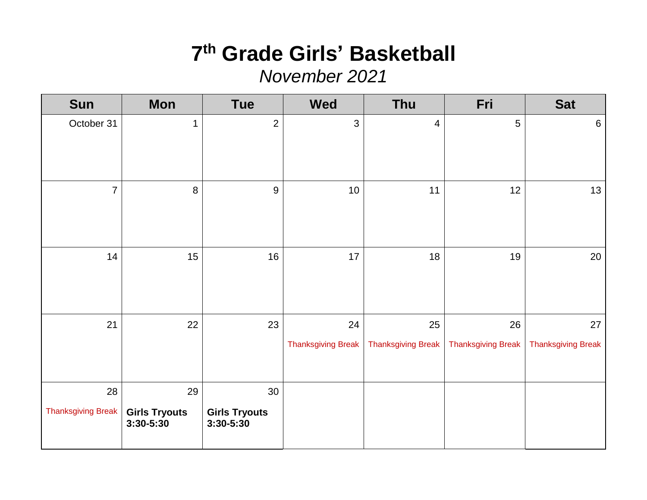# **7 th Grade Girls' Basketball**

*November 2021*

| <b>Sun</b>         | <b>Mon</b>                            | <b>Tue</b>                        | <b>Wed</b>                      | Thu                             | Fri                             | <b>Sat</b>                      |
|--------------------|---------------------------------------|-----------------------------------|---------------------------------|---------------------------------|---------------------------------|---------------------------------|
| October 31         | $\mathbf{1}$                          | $\overline{2}$                    | 3                               | $\overline{4}$                  | 5                               | $6\phantom{1}6$                 |
| $\overline{7}$     | $\,8\,$                               | 9                                 | 10                              | 11                              | 12                              | 13                              |
| 14                 | 15                                    | 16                                | 17                              | 18                              | 19                              | 20                              |
| 21                 | 22                                    | 23                                | 24<br><b>Thanksgiving Break</b> | 25<br><b>Thanksgiving Break</b> | 26<br><b>Thanksgiving Break</b> | 27<br><b>Thanksgiving Break</b> |
| 28                 | 29                                    | 30                                |                                 |                                 |                                 |                                 |
| Thanksgiving Break | <b>Girls Tryouts</b><br>$3:30 - 5:30$ | <b>Girls Tryouts</b><br>3:30-5:30 |                                 |                                 |                                 |                                 |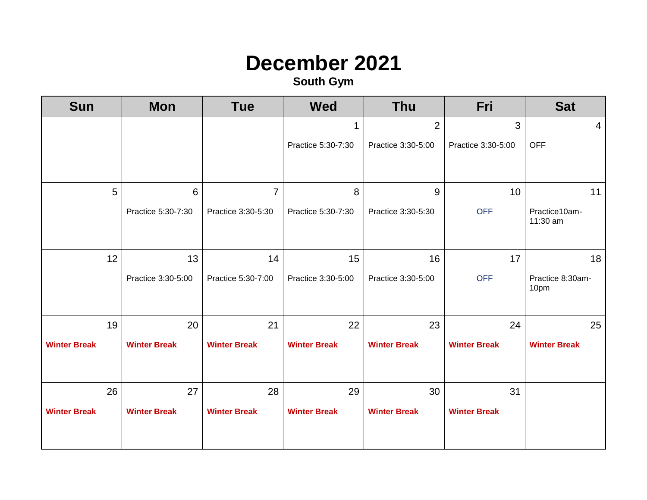#### **December 2021**

| <b>Sun</b>          | <b>Mon</b>          | <b>Tue</b>          | <b>Wed</b>          | <b>Thu</b>          | Fri                 | <b>Sat</b>                |
|---------------------|---------------------|---------------------|---------------------|---------------------|---------------------|---------------------------|
|                     |                     |                     | 1                   | $\overline{2}$      | 3                   | 4                         |
|                     |                     |                     | Practice 5:30-7:30  | Practice 3:30-5:00  | Practice 3:30-5:00  | <b>OFF</b>                |
|                     |                     |                     |                     |                     |                     |                           |
| 5                   | $6\phantom{1}6$     | $\overline{7}$      | 8                   | 9                   | 10                  | 11                        |
|                     | Practice 5:30-7:30  | Practice 3:30-5:30  | Practice 5:30-7:30  | Practice 3:30-5:30  | <b>OFF</b>          | Practice10am-<br>11:30 am |
| 12                  | 13                  | 14                  | 15                  | 16                  | 17                  | 18                        |
|                     | Practice 3:30-5:00  | Practice 5:30-7:00  | Practice 3:30-5:00  | Practice 3:30-5:00  | <b>OFF</b>          | Practice 8:30am-<br>10pm  |
| 19                  | 20                  | 21                  | 22                  | 23                  | 24                  | 25                        |
| <b>Winter Break</b> | <b>Winter Break</b> | <b>Winter Break</b> | <b>Winter Break</b> | <b>Winter Break</b> | <b>Winter Break</b> | <b>Winter Break</b>       |
| 26                  | 27                  | 28                  | 29                  | 30                  | 31                  |                           |
| <b>Winter Break</b> | <b>Winter Break</b> | <b>Winter Break</b> | <b>Winter Break</b> | <b>Winter Break</b> | <b>Winter Break</b> |                           |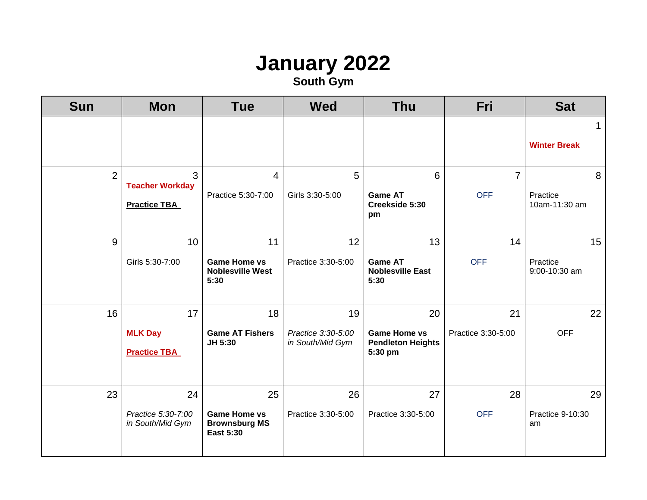## **January 2022**

| <b>Sun</b>     | <b>Mon</b>                                                      | <b>Tue</b>                                                            | <b>Wed</b>                                   | <b>Thu</b>                                                       | Fri                          | <b>Sat</b>                         |
|----------------|-----------------------------------------------------------------|-----------------------------------------------------------------------|----------------------------------------------|------------------------------------------------------------------|------------------------------|------------------------------------|
|                |                                                                 |                                                                       |                                              |                                                                  |                              | $\mathbf 1$<br><b>Winter Break</b> |
| $\overline{2}$ | $\overline{3}$<br><b>Teacher Workday</b><br><b>Practice TBA</b> | 4<br>Practice 5:30-7:00                                               | 5<br>Girls 3:30-5:00                         | 6<br><b>Game AT</b><br>Creekside 5:30<br>pm                      | $\overline{7}$<br><b>OFF</b> | 8<br>Practice<br>10am-11:30 am     |
| 9              | 10<br>Girls 5:30-7:00                                           | 11<br><b>Game Home vs</b><br><b>Noblesville West</b><br>5:30          | 12<br>Practice 3:30-5:00                     | 13<br><b>Game AT</b><br><b>Noblesville East</b><br>5:30          | 14<br><b>OFF</b>             | 15<br>Practice<br>9:00-10:30 am    |
| 16             | 17<br><b>MLK Day</b><br><b>Practice TBA</b>                     | 18<br><b>Game AT Fishers</b><br>JH 5:30                               | 19<br>Practice 3:30-5:00<br>in South/Mid Gym | 20<br><b>Game Home vs</b><br><b>Pendleton Heights</b><br>5:30 pm | 21<br>Practice 3:30-5:00     | 22<br><b>OFF</b>                   |
| 23             | 24<br>Practice 5:30-7:00<br>in South/Mid Gym                    | 25<br><b>Game Home vs</b><br><b>Brownsburg MS</b><br><b>East 5:30</b> | 26<br>Practice 3:30-5:00                     | 27<br>Practice 3:30-5:00                                         | 28<br><b>OFF</b>             | 29<br>Practice 9-10:30<br>am       |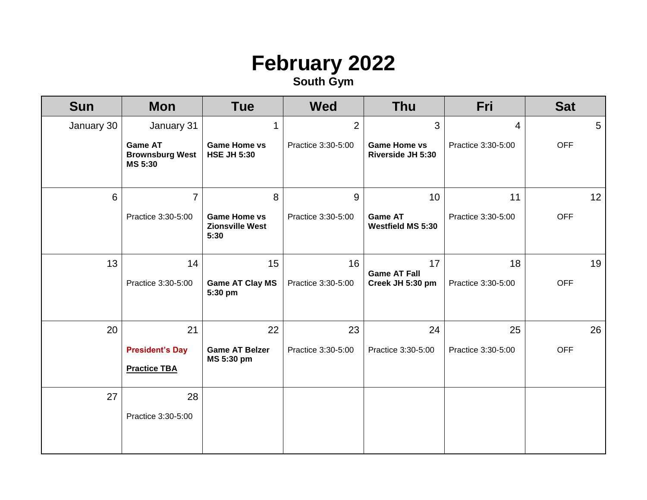#### **February 2022**

| <b>Sun</b> | <b>Mon</b>                                                 | <b>Tue</b>                                            | <b>Wed</b>         | <b>Thu</b>                                      | Fri                | <b>Sat</b> |
|------------|------------------------------------------------------------|-------------------------------------------------------|--------------------|-------------------------------------------------|--------------------|------------|
| January 30 | January 31                                                 | 1                                                     | $\overline{2}$     | 3                                               | $\overline{4}$     | 5          |
|            | <b>Game AT</b><br><b>Brownsburg West</b><br><b>MS 5:30</b> | <b>Game Home vs</b><br><b>HSE JH 5:30</b>             | Practice 3:30-5:00 | <b>Game Home vs</b><br><b>Riverside JH 5:30</b> | Practice 3:30-5:00 | <b>OFF</b> |
| 6          | $\overline{7}$                                             | 8                                                     | 9                  | 10                                              | 11                 | 12         |
|            | Practice 3:30-5:00                                         | <b>Game Home vs</b><br><b>Zionsville West</b><br>5:30 | Practice 3:30-5:00 | <b>Game AT</b><br><b>Westfield MS 5:30</b>      | Practice 3:30-5:00 | <b>OFF</b> |
| 13         | 14                                                         | 15                                                    | 16                 | 17<br><b>Game AT Fall</b>                       | 18                 | 19         |
|            | Practice 3:30-5:00                                         | <b>Game AT Clay MS</b><br>5:30 pm                     | Practice 3:30-5:00 | Creek JH 5:30 pm                                | Practice 3:30-5:00 | <b>OFF</b> |
| 20         | 21                                                         | 22                                                    | 23                 | 24                                              | 25                 | 26         |
|            | <b>President's Day</b><br><b>Practice TBA</b>              | <b>Game AT Belzer</b><br>MS 5:30 pm                   | Practice 3:30-5:00 | Practice 3:30-5:00                              | Practice 3:30-5:00 | <b>OFF</b> |
| 27         | 28                                                         |                                                       |                    |                                                 |                    |            |
|            | Practice 3:30-5:00                                         |                                                       |                    |                                                 |                    |            |